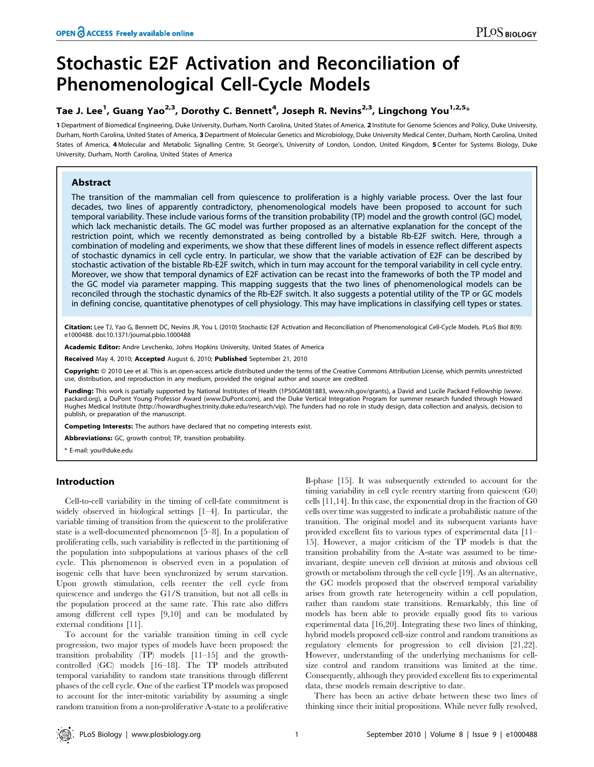# Stochastic E2F Activation and Reconciliation of Phenomenological Cell-Cycle Models

# Tae J. Lee<sup>1</sup>, Guang Yao<sup>2,3</sup>, Dorothy C. Bennett<sup>4</sup>, Joseph R. Nevins<sup>2,3</sup>, Lingchong You<sup>1,2,5</sup>\*

1 Department of Biomedical Engineering, Duke University, Durham, North Carolina, United States of America, 2 Institute for Genome Sciences and Policy, Duke University, Durham, North Carolina, United States of America, 3 Department of Molecular Genetics and Microbiology, Duke University Medical Center, Durham, North Carolina, United States of America, 4 Molecular and Metabolic Signalling Centre, St George's, University of London, London, United Kingdom, 5 Center for Systems Biology, Duke University, Durham, North Carolina, United States of America

# Abstract

The transition of the mammalian cell from quiescence to proliferation is a highly variable process. Over the last four decades, two lines of apparently contradictory, phenomenological models have been proposed to account for such temporal variability. These include various forms of the transition probability (TP) model and the growth control (GC) model, which lack mechanistic details. The GC model was further proposed as an alternative explanation for the concept of the restriction point, which we recently demonstrated as being controlled by a bistable Rb-E2F switch. Here, through a combination of modeling and experiments, we show that these different lines of models in essence reflect different aspects of stochastic dynamics in cell cycle entry. In particular, we show that the variable activation of E2F can be described by stochastic activation of the bistable Rb-E2F switch, which in turn may account for the temporal variability in cell cycle entry. Moreover, we show that temporal dynamics of E2F activation can be recast into the frameworks of both the TP model and the GC model via parameter mapping. This mapping suggests that the two lines of phenomenological models can be reconciled through the stochastic dynamics of the Rb-E2F switch. It also suggests a potential utility of the TP or GC models in defining concise, quantitative phenotypes of cell physiology. This may have implications in classifying cell types or states.

Citation: Lee TJ, Yao G, Bennett DC, Nevins JR, You L (2010) Stochastic E2F Activation and Reconciliation of Phenomenological Cell-Cycle Models. PLoS Biol 8(9): e1000488. doi:10.1371/journal.pbio.1000488

Academic Editor: Andre Levchenko, Johns Hopkins University, United States of America

Received May 4, 2010; Accepted August 6, 2010; Published September 21, 2010

Copyright: © 2010 Lee et al. This is an open-access article distributed under the terms of the Creative Commons Attribution License, which permits unrestricted use, distribution, and reproduction in any medium, provided the original author and source are credited.

Funding: This work is partially supported by National Institutes of Health (1P50GM081883, www.nih.gov/grants), a David and Lucile Packard Fellowship (www. packard.org), a DuPont Young Professor Award (www.DuPont.com), and the Duke Vertical Integration Program for summer research funded through Howard Hughes Medical Institute (http://howardhughes.trinity.duke.edu/research/vip). The funders had no role in study design, data collection and analysis, decision to publish, or preparation of the manuscript.

Competing Interests: The authors have declared that no competing interests exist.

Abbreviations: GC, growth control; TP, transition probability.

\* E-mail: you@duke.edu

# Introduction

Cell-to-cell variability in the timing of cell-fate commitment is widely observed in biological settings [1–4]. In particular, the variable timing of transition from the quiescent to the proliferative state is a well-documented phenomenon [5–8]. In a population of proliferating cells, such variability is reflected in the partitioning of the population into subpopulations at various phases of the cell cycle. This phenomenon is observed even in a population of isogenic cells that have been synchronized by serum starvation. Upon growth stimulation, cells reenter the cell cycle from quiescence and undergo the G1/S transition, but not all cells in the population proceed at the same rate. This rate also differs among different cell types [9,10] and can be modulated by external conditions [11].

To account for the variable transition timing in cell cycle progression, two major types of models have been proposed: the transition probability (TP) models [11–15] and the growthcontrolled (GC) models [16–18]. The TP models attributed temporal variability to random state transitions through different phases of the cell cycle. One of the earliest TP models was proposed to account for the inter-mitotic variability by assuming a single random transition from a non-proliferative A-state to a proliferative B-phase [15]. It was subsequently extended to account for the timing variability in cell cycle reentry starting from quiescent (G0) cells [11,14]. In this case, the exponential drop in the fraction of G0 cells over time was suggested to indicate a probabilistic nature of the transition. The original model and its subsequent variants have provided excellent fits to various types of experimental data [11– 15]. However, a major criticism of the TP models is that the transition probability from the A-state was assumed to be timeinvariant, despite uneven cell division at mitosis and obvious cell growth or metabolism through the cell cycle [19]. As an alternative, the GC models proposed that the observed temporal variability arises from growth rate heterogeneity within a cell population, rather than random state transitions. Remarkably, this line of models has been able to provide equally good fits to various experimental data [16,20]. Integrating these two lines of thinking, hybrid models proposed cell-size control and random transitions as regulatory elements for progression to cell division [21,22]. However, understanding of the underlying mechanisms for cellsize control and random transitions was limited at the time. Consequently, although they provided excellent fits to experimental data, these models remain descriptive to date.

There has been an active debate between these two lines of thinking since their initial propositions. While never fully resolved,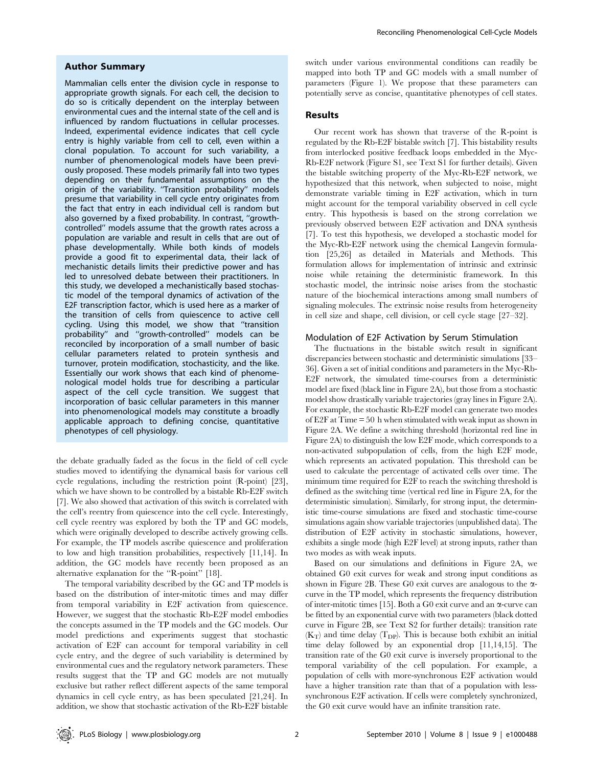## Author Summary

Mammalian cells enter the division cycle in response to appropriate growth signals. For each cell, the decision to do so is critically dependent on the interplay between environmental cues and the internal state of the cell and is influenced by random fluctuations in cellular processes. Indeed, experimental evidence indicates that cell cycle entry is highly variable from cell to cell, even within a clonal population. To account for such variability, a number of phenomenological models have been previously proposed. These models primarily fall into two types depending on their fundamental assumptions on the origin of the variability. "Transition probability" models presume that variability in cell cycle entry originates from the fact that entry in each individual cell is random but also governed by a fixed probability. In contrast, ''growthcontrolled'' models assume that the growth rates across a population are variable and result in cells that are out of phase developmentally. While both kinds of models provide a good fit to experimental data, their lack of mechanistic details limits their predictive power and has led to unresolved debate between their practitioners. In this study, we developed a mechanistically based stochastic model of the temporal dynamics of activation of the E2F transcription factor, which is used here as a marker of the transition of cells from quiescence to active cell cycling. Using this model, we show that ''transition probability'' and ''growth-controlled'' models can be reconciled by incorporation of a small number of basic cellular parameters related to protein synthesis and turnover, protein modification, stochasticity, and the like. Essentially our work shows that each kind of phenomenological model holds true for describing a particular aspect of the cell cycle transition. We suggest that incorporation of basic cellular parameters in this manner into phenomenological models may constitute a broadly applicable approach to defining concise, quantitative phenotypes of cell physiology.

the debate gradually faded as the focus in the field of cell cycle studies moved to identifying the dynamical basis for various cell cycle regulations, including the restriction point (R-point) [23], which we have shown to be controlled by a bistable Rb-E2F switch [7]. We also showed that activation of this switch is correlated with the cell's reentry from quiescence into the cell cycle. Interestingly, cell cycle reentry was explored by both the TP and GC models, which were originally developed to describe actively growing cells. For example, the TP models ascribe quiescence and proliferation to low and high transition probabilities, respectively [11,14]. In addition, the GC models have recently been proposed as an alternative explanation for the ''R-point'' [18].

The temporal variability described by the GC and TP models is based on the distribution of inter-mitotic times and may differ from temporal variability in E2F activation from quiescence. However, we suggest that the stochastic Rb-E2F model embodies the concepts assumed in the TP models and the GC models. Our model predictions and experiments suggest that stochastic activation of E2F can account for temporal variability in cell cycle entry, and the degree of such variability is determined by environmental cues and the regulatory network parameters. These results suggest that the TP and GC models are not mutually exclusive but rather reflect different aspects of the same temporal dynamics in cell cycle entry, as has been speculated [21,24]. In addition, we show that stochastic activation of the Rb-E2F bistable

switch under various environmental conditions can readily be mapped into both TP and GC models with a small number of parameters (Figure 1). We propose that these parameters can potentially serve as concise, quantitative phenotypes of cell states.

# Results

Our recent work has shown that traverse of the R-point is regulated by the Rb-E2F bistable switch [7]. This bistability results from interlocked positive feedback loops embedded in the Myc-Rb-E2F network (Figure S1, see Text S1 for further details). Given the bistable switching property of the Myc-Rb-E2F network, we hypothesized that this network, when subjected to noise, might demonstrate variable timing in E2F activation, which in turn might account for the temporal variability observed in cell cycle entry. This hypothesis is based on the strong correlation we previously observed between E2F activation and DNA synthesis [7]. To test this hypothesis, we developed a stochastic model for the Myc-Rb-E2F network using the chemical Langevin formulation [25,26] as detailed in Materials and Methods. This formulation allows for implementation of intrinsic and extrinsic noise while retaining the deterministic framework. In this stochastic model, the intrinsic noise arises from the stochastic nature of the biochemical interactions among small numbers of signaling molecules. The extrinsic noise results from heterogeneity in cell size and shape, cell division, or cell cycle stage [27–32].

# Modulation of E2F Activation by Serum Stimulation

The fluctuations in the bistable switch result in significant discrepancies between stochastic and deterministic simulations [33– 36]. Given a set of initial conditions and parameters in the Myc-Rb-E2F network, the simulated time-courses from a deterministic model are fixed (black line in Figure 2A), but those from a stochastic model show drastically variable trajectories (gray lines in Figure 2A). For example, the stochastic Rb-E2F model can generate two modes of E2F at Time = 50 h when stimulated with weak input as shown in Figure 2A. We define a switching threshold (horizontal red line in Figure 2A) to distinguish the low E2F mode, which corresponds to a non-activated subpopulation of cells, from the high E2F mode, which represents an activated population. This threshold can be used to calculate the percentage of activated cells over time. The minimum time required for E2F to reach the switching threshold is defined as the switching time (vertical red line in Figure 2A, for the deterministic simulation). Similarly, for strong input, the deterministic time-course simulations are fixed and stochastic time-course simulations again show variable trajectories (unpublished data). The distribution of E2F activity in stochastic simulations, however, exhibits a single mode (high E2F level) at strong inputs, rather than two modes as with weak inputs.

Based on our simulations and definitions in Figure 2A, we obtained G0 exit curves for weak and strong input conditions as shown in Figure 2B. These G0 exit curves are analogous to the  $\alpha$ curve in the TP model, which represents the frequency distribution of inter-mitotic times [15]. Both a G0 exit curve and an  $\alpha$ -curve can be fitted by an exponential curve with two parameters (black dotted curve in Figure 2B, see Text S2 for further details): transition rate  $(K_T)$  and time delay ( $T_{DP}$ ). This is because both exhibit an initial time delay followed by an exponential drop [11,14,15]. The transition rate of the G0 exit curve is inversely proportional to the temporal variability of the cell population. For example, a population of cells with more-synchronous E2F activation would have a higher transition rate than that of a population with lesssynchronous E2F activation. If cells were completely synchronized, the G0 exit curve would have an infinite transition rate.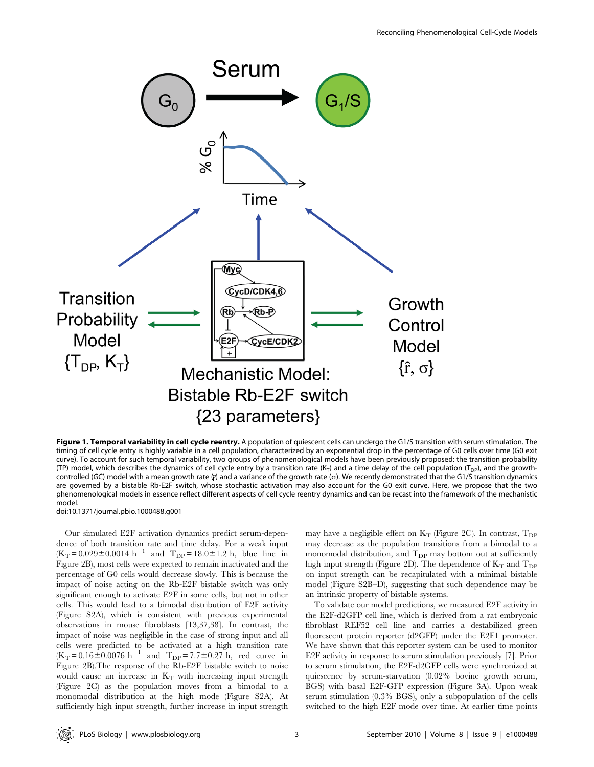

Figure 1. Temporal variability in cell cycle reentry. A population of quiescent cells can undergo the G1/S transition with serum stimulation. The timing of cell cycle entry is highly variable in a cell population, characterized by an exponential drop in the percentage of G0 cells over time (G0 exit curve). To account for such temporal variability, two groups of phenomenological models have been previously proposed: the transition probability (TP) model, which describes the dynamics of cell cycle entry by a transition rate (K<sub>T</sub>) and a time delay of the cell population (T<sub>DP</sub>), and the growthcontrolled (GC) model with a mean growth rate ( $\rho$ ) and a variance of the growth rate ( $\sigma$ ). We recently demonstrated that the G1/S transition dynamics are governed by a bistable Rb-E2F switch, whose stochastic activation may also account for the G0 exit curve. Here, we propose that the two phenomenological models in essence reflect different aspects of cell cycle reentry dynamics and can be recast into the framework of the mechanistic model.

doi:10.1371/journal.pbio.1000488.g001

Our simulated E2F activation dynamics predict serum-dependence of both transition rate and time delay. For a weak input  $(K_T = 0.029 \pm 0.0014 \text{ h}^{-1}$  and  $T_{DP} = 18.0 \pm 1.2 \text{ h}$ , blue line in Figure 2B), most cells were expected to remain inactivated and the percentage of G0 cells would decrease slowly. This is because the impact of noise acting on the Rb-E2F bistable switch was only significant enough to activate E2F in some cells, but not in other cells. This would lead to a bimodal distribution of E2F activity (Figure S2A), which is consistent with previous experimental observations in mouse fibroblasts [13,37,38]. In contrast, the impact of noise was negligible in the case of strong input and all cells were predicted to be activated at a high transition rate  $(K_T = 0.16 \pm 0.0076 \text{ h}^{-1}$  and  $T_{DP} = 7.7 \pm 0.27 \text{ h}$ , red curve in Figure 2B).The response of the Rb-E2F bistable switch to noise would cause an increase in  $K_T$  with increasing input strength (Figure 2C) as the population moves from a bimodal to a monomodal distribution at the high mode (Figure S2A). At sufficiently high input strength, further increase in input strength may have a negligible effect on  $K_T$  (Figure 2C). In contrast,  $T_{DP}$ may decrease as the population transitions from a bimodal to a monomodal distribution, and  $T_{DP}$  may bottom out at sufficiently high input strength (Figure 2D). The dependence of  $K_T$  and  $T_{DP}$ on input strength can be recapitulated with a minimal bistable model (Figure S2B–D), suggesting that such dependence may be an intrinsic property of bistable systems.

To validate our model predictions, we measured E2F activity in the E2F-d2GFP cell line, which is derived from a rat embryonic fibroblast REF52 cell line and carries a destabilized green fluorescent protein reporter (d2GFP) under the E2F1 promoter. We have shown that this reporter system can be used to monitor E2F activity in response to serum stimulation previously [7]. Prior to serum stimulation, the E2F-d2GFP cells were synchronized at quiescence by serum-starvation (0.02% bovine growth serum, BGS) with basal E2F-GFP expression (Figure 3A). Upon weak serum stimulation (0.3% BGS), only a subpopulation of the cells switched to the high E2F mode over time. At earlier time points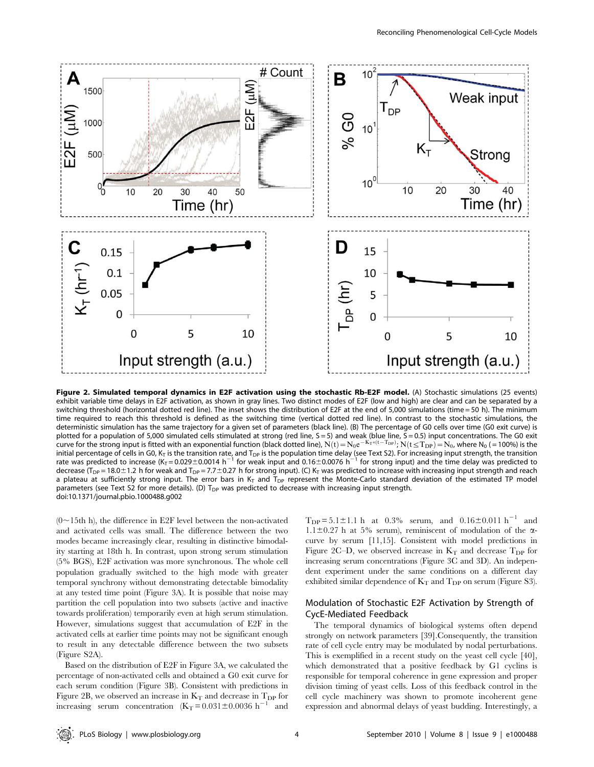

Figure 2. Simulated temporal dynamics in E2F activation using the stochastic Rb-E2F model. (A) Stochastic simulations (25 events) exhibit variable time delays in E2F activation, as shown in gray lines. Two distinct modes of E2F (low and high) are clear and can be separated by a switching threshold (horizontal dotted red line). The inset shows the distribution of E2F at the end of 5,000 simulations (time = 50 h). The minimum time required to reach this threshold is defined as the switching time (vertical dotted red line). In contrast to the stochastic simulations, the deterministic simulation has the same trajectory for a given set of parameters (black line). (B) The percentage of G0 cells over time (G0 exit curve) is plotted for a population of 5,000 simulated cells stimulated at strong (red line, S = 5) and weak (blue line, S = 0.5) input concentrations. The G0 exit<br>curve for the strong input is fitted with an exponential function (b initial percentage of cells in G0, K<sub>T</sub> is the transition rate, and T<sub>DP</sub> is the population time delay (see Text S2). For increasing input strength, the transition rate was predicted to increase (K<sub>T</sub> = 0.029±0.0014 h<sup>-1</sup> for weak input and 0.16±0.0076 h<sup>-1</sup> for strong input) and the time delay was predicted to decrease (T<sub>DP</sub> = 18.0±1.2 h for weak and T<sub>DP</sub> = 7.7±0.27 h for strong input). (C) K<sub>T</sub> was predicted to increase with increasing input strength and reach a plateau at sufficiently strong input. The error bars in  $K<sub>T</sub>$  and  $T<sub>DP</sub>$  represent the Monte-Carlo standard deviation of the estimated TP model parameters (see Text S2 for more details). (D)  $T_{DP}$  was predicted to decrease with increasing input strength. doi:10.1371/journal.pbio.1000488.g002

 $(0 \sim 15$ th h), the difference in E2F level between the non-activated and activated cells was small. The difference between the two modes became increasingly clear, resulting in distinctive bimodality starting at 18th h. In contrast, upon strong serum stimulation (5% BGS), E2F activation was more synchronous. The whole cell population gradually switched to the high mode with greater temporal synchrony without demonstrating detectable bimodality at any tested time point (Figure 3A). It is possible that noise may partition the cell population into two subsets (active and inactive towards proliferation) temporarily even at high serum stimulation. However, simulations suggest that accumulation of E2F in the activated cells at earlier time points may not be significant enough to result in any detectable difference between the two subsets (Figure S2A).

Based on the distribution of E2F in Figure 3A, we calculated the percentage of non-activated cells and obtained a G0 exit curve for each serum condition (Figure 3B). Consistent with predictions in Figure 2B, we observed an increase in  $K_T$  and decrease in  $T_{DP}$  for increasing serum concentration  $(K_T = 0.031 \pm 0.0036 \text{ h}^{-1}$  and

 $T_{\text{DP}} = 5.1 \pm 1.1 \text{ h}$  at 0.3% serum, and 0.16 $\pm$ 0.011 h<sup>-1</sup> and  $1.1\pm0.27$  h at 5% serum), reminiscent of modulation of the  $\alpha$ curve by serum [11,15]. Consistent with model predictions in Figure 2C–D, we observed increase in  $K_T$  and decrease  $T_{DP}$  for increasing serum concentrations (Figure 3C and 3D). An independent experiment under the same conditions on a different day exhibited similar dependence of  $K_T$  and  $T_{DP}$  on serum (Figure S3).

# Modulation of Stochastic E2F Activation by Strength of CycE-Mediated Feedback

The temporal dynamics of biological systems often depend strongly on network parameters [39].Consequently, the transition rate of cell cycle entry may be modulated by nodal perturbations. This is exemplified in a recent study on the yeast cell cycle [40], which demonstrated that a positive feedback by G1 cyclins is responsible for temporal coherence in gene expression and proper division timing of yeast cells. Loss of this feedback control in the cell cycle machinery was shown to promote incoherent gene expression and abnormal delays of yeast budding. Interestingly, a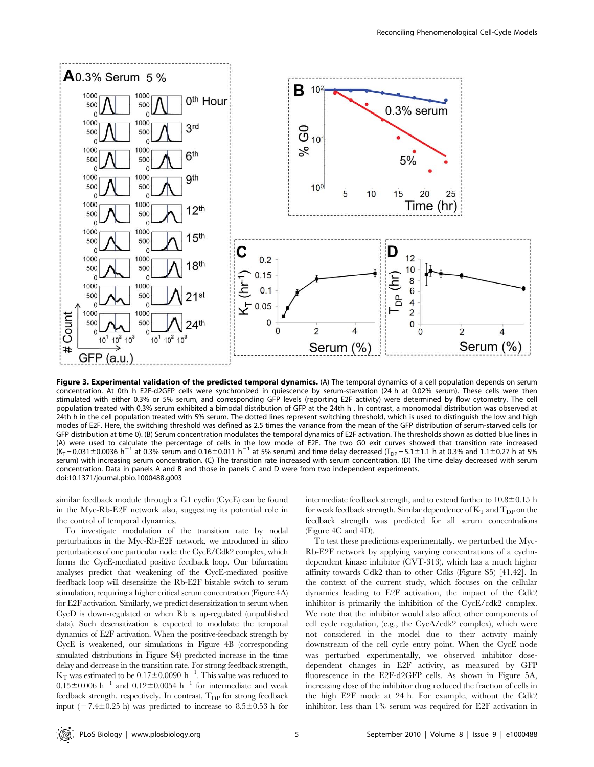

Figure 3. Experimental validation of the predicted temporal dynamics. (A) The temporal dynamics of a cell population depends on serum concentration. At 0th h E2F-d2GFP cells were synchronized in quiescence by serum-starvation (24 h at 0.02% serum). These cells were then stimulated with either 0.3% or 5% serum, and corresponding GFP levels (reporting E2F activity) were determined by flow cytometry. The cell population treated with 0.3% serum exhibited a bimodal distribution of GFP at the 24th h . In contrast, a monomodal distribution was observed at 24th h in the cell population treated with 5% serum. The dotted lines represent switching threshold, which is used to distinguish the low and high modes of E2F. Here, the switching threshold was defined as 2.5 times the variance from the mean of the GFP distribution of serum-starved cells (or GFP distribution at time 0). (B) Serum concentration modulates the temporal dynamics of E2F activation. The thresholds shown as dotted blue lines in (A) were used to calculate the percentage of cells in the low mode of E2F. The two G0 exit curves showed that transition rate increased  $(K_T = 0.031 \pm 0.0036 \text{ h}^{-1}$  at 0.3% serum and 0.16 $\pm$ 0.011 h<sup>-1</sup> at 5% serum) and time delay decreased (T<sub>DP</sub> = 5.1 $\pm$ 1.1 h at 0.3% and 1.1 $\pm$ 0.27 h at 5% serum) with increasing serum concentration. (C) The transition rate increased with serum concentration. (D) The time delay decreased with serum concentration. Data in panels A and B and those in panels C and D were from two independent experiments. doi:10.1371/journal.pbio.1000488.g003

similar feedback module through a G1 cyclin (CycE) can be found in the Myc-Rb-E2F network also, suggesting its potential role in the control of temporal dynamics.

To investigate modulation of the transition rate by nodal perturbations in the Myc-Rb-E2F network, we introduced in silico perturbations of one particular node: the CycE/Cdk2 complex, which forms the CycE-mediated positive feedback loop. Our bifurcation analyses predict that weakening of the CycE-mediated positive feedback loop will desensitize the Rb-E2F bistable switch to serum stimulation, requiring a higher critical serum concentration (Figure 4A) for E2F activation. Similarly, we predict desensitization to serum when CycD is down-regulated or when Rb is up-regulated (unpublished data). Such desensitization is expected to modulate the temporal dynamics of E2F activation. When the positive-feedback strength by CycE is weakened, our simulations in Figure 4B (corresponding simulated distributions in Figure S4) predicted increase in the time delay and decrease in the transition rate. For strong feedback strength,  $K_T$  was estimated to be  $0.17 \pm 0.0090$  h<sup>-1</sup>. This value was reduced to  $0.15 \pm 0.006$  h<sup>-1</sup> and  $0.12 \pm 0.0054$  h<sup>-1</sup> for intermediate and weak feedback strength, respectively. In contrast,  $T_{\text{DP}}$  for strong feedback input ( $= 7.4 \pm 0.25$  h) was predicted to increase to 8.5 $\pm$ 0.53 h for

intermediate feedback strength, and to extend further to  $10.8\pm0.15$  h for weak feedback strength. Similar dependence of  $K_T$  and  $T_{DP}$  on the feedback strength was predicted for all serum concentrations (Figure 4C and 4D).

To test these predictions experimentally, we perturbed the Myc-Rb-E2F network by applying varying concentrations of a cyclindependent kinase inhibitor (CVT-313), which has a much higher affinity towards Cdk2 than to other Cdks (Figure S5) [41,42]. In the context of the current study, which focuses on the cellular dynamics leading to E2F activation, the impact of the Cdk2 inhibitor is primarily the inhibition of the CycE/cdk2 complex. We note that the inhibitor would also affect other components of cell cycle regulation, (e.g., the CycA/cdk2 complex), which were not considered in the model due to their activity mainly downstream of the cell cycle entry point. When the CycE node was perturbed experimentally, we observed inhibitor dosedependent changes in E2F activity, as measured by GFP fluorescence in the E2F-d2GFP cells. As shown in Figure 5A, increasing dose of the inhibitor drug reduced the fraction of cells in the high E2F mode at 24 h. For example, without the Cdk2 inhibitor, less than 1% serum was required for E2F activation in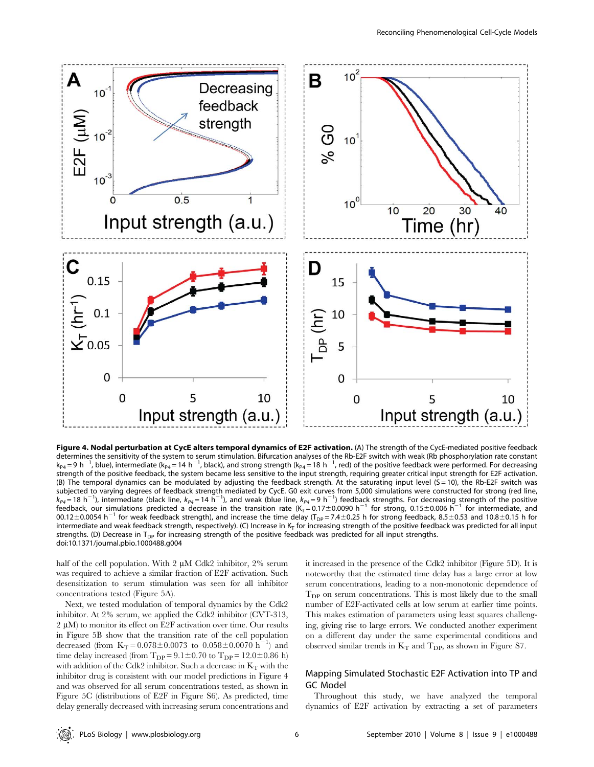

Figure 4. Nodal perturbation at CycE alters temporal dynamics of E2F activation. (A) The strength of the CycE-mediated positive feedback determines the sensitivity of the system to serum stimulation. Bifurcation analyses of the Rb-E2F switch with weak (Rb phosphorylation rate constant  $k_{PA}$  = 9 h<sup>-1</sup>, blue), intermediate (k<sub>P4</sub> = 14 h<sup>-1</sup>, black), and strong strength (k<sub>P4</sub> = 18 h<sup>-1</sup>, red) of the positive feedback were performed. For decreasing strength of the positive feedback, the system became less sensitive to the input strength, requiring greater critical input strength for E2F activation. (B) The temporal dynamics can be modulated by adjusting the feedback strength. At the saturating input level  $(S = 10)$ , the Rb-E2F switch was subjected to varying degrees of feedback strength mediated by CycE. G0 exit curves from 5,000 simulations were constructed for strong (red line,<br>k<sub>P4</sub>=18 h<sup>-1</sup>), intermediate (black line, k<sub>P4</sub>=14 h<sup>-1</sup>), and weak (blue l 00.12 $\pm$ 0.0054 h<sup>-1</sup> for weak feedback strength), and increase the time delay (T<sub>DP</sub> = 7.4 $\pm$ 0.25 h for strong feedback, 8.5 $\pm$ 0.53 and 10.8 $\pm$ 0.15 h for intermediate and weak feedback strength, respectively). (C) Increase in  $K<sub>T</sub>$  for increasing strength of the positive feedback was predicted for all input strengths. (D) Decrease in  $T_{DP}$  for increasing strength of the positive feedback was predicted for all input strengths. doi:10.1371/journal.pbio.1000488.g004

half of the cell population. With  $2 \mu M$  Cdk2 inhibitor,  $2\%$  serum was required to achieve a similar fraction of E2F activation. Such desensitization to serum stimulation was seen for all inhibitor concentrations tested (Figure 5A).

Next, we tested modulation of temporal dynamics by the Cdk2 inhibitor. At 2% serum, we applied the Cdk2 inhibitor (CVT-313,  $2 \mu M$ ) to monitor its effect on E2F activation over time. Our results in Figure 5B show that the transition rate of the cell population decreased (from  $K_T = 0.078 \pm 0.0073$  to  $0.058 \pm 0.0070$  h<sup>-1</sup>) and time delay increased (from  $T_{DP} = 9.1 \pm 0.70$  to  $T_{DP} = 12.0 \pm 0.86$  h) with addition of the Cdk2 inhibitor. Such a decrease in  $K_T$  with the inhibitor drug is consistent with our model predictions in Figure 4 and was observed for all serum concentrations tested, as shown in Figure 5C (distributions of E2F in Figure S6). As predicted, time delay generally decreased with increasing serum concentrations and it increased in the presence of the Cdk2 inhibitor (Figure 5D). It is noteworthy that the estimated time delay has a large error at low serum concentrations, leading to a non-monotonic dependence of  $T_{\text{DP}}$  on serum concentrations. This is most likely due to the small number of E2F-activated cells at low serum at earlier time points. This makes estimation of parameters using least squares challenging, giving rise to large errors. We conducted another experiment on a different day under the same experimental conditions and observed similar trends in  $K_T$  and  $T_{DP}$ , as shown in Figure S7.

# Mapping Simulated Stochastic E2F Activation into TP and GC Model

Throughout this study, we have analyzed the temporal dynamics of E2F activation by extracting a set of parameters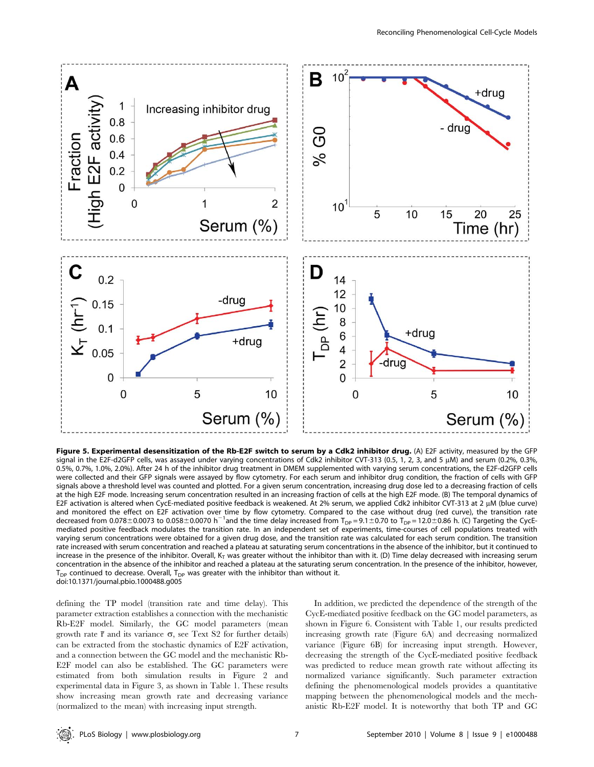

Figure 5. Experimental desensitization of the Rb-E2F switch to serum by a Cdk2 inhibitor drug. (A) E2F activity, measured by the GFP signal in the E2F-d2GFP cells, was assayed under varying concentrations of Cdk2 inhibitor CVT-313 (0.5, 1, 2, 3, and 5 µM) and serum (0.2%, 0.3%, 0.5%, 0.7%, 1.0%, 2.0%). After 24 h of the inhibitor drug treatment in DMEM supplemented with varying serum concentrations, the E2F-d2GFP cells were collected and their GFP signals were assayed by flow cytometry. For each serum and inhibitor drug condition, the fraction of cells with GFP signals above a threshold level was counted and plotted. For a given serum concentration, increasing drug dose led to a decreasing fraction of cells at the high E2F mode. Increasing serum concentration resulted in an increasing fraction of cells at the high E2F mode. (B) The temporal dynamics of E2F activation is altered when CycE-mediated positive feedback is weakened. At 2% serum, we applied Cdk2 inhibitor CVT-313 at 2 µM (blue curve) and monitored the effect on E2F activation over time by flow cytometry. Compared to the case without drug (red curve), the transition rate<br>decreased from 0.078±0.0073 to 0.058±0.0070 h<sup>—1</sup>and the time delay increased from mediated positive feedback modulates the transition rate. In an independent set of experiments, time-courses of cell populations treated with varying serum concentrations were obtained for a given drug dose, and the transition rate was calculated for each serum condition. The transition rate increased with serum concentration and reached a plateau at saturating serum concentrations in the absence of the inhibitor, but it continued to increase in the presence of the inhibitor. Overall,  $K<sub>T</sub>$  was greater without the inhibitor than with it. (D) Time delay decreased with increasing serum concentration in the absence of the inhibitor and reached a plateau at the saturating serum concentration. In the presence of the inhibitor, however,  $T_{DP}$  continued to decrease. Overall,  $T_{DP}$  was greater with the inhibitor than without it. doi:10.1371/journal.pbio.1000488.g005

defining the TP model (transition rate and time delay). This parameter extraction establishes a connection with the mechanistic Rb-E2F model. Similarly, the GC model parameters (mean growth rate  $\bar{r}$  and its variance  $\sigma$ , see Text S2 for further details) can be extracted from the stochastic dynamics of E2F activation, and a connection between the GC model and the mechanistic Rb-E2F model can also be established. The GC parameters were estimated from both simulation results in Figure 2 and experimental data in Figure 3, as shown in Table 1. These results show increasing mean growth rate and decreasing variance (normalized to the mean) with increasing input strength.

In addition, we predicted the dependence of the strength of the CycE-mediated positive feedback on the GC model parameters, as shown in Figure 6. Consistent with Table 1, our results predicted increasing growth rate (Figure 6A) and decreasing normalized variance (Figure 6B) for increasing input strength. However, decreasing the strength of the CycE-mediated positive feedback was predicted to reduce mean growth rate without affecting its normalized variance significantly. Such parameter extraction defining the phenomenological models provides a quantitative mapping between the phenomenological models and the mechanistic Rb-E2F model. It is noteworthy that both TP and GC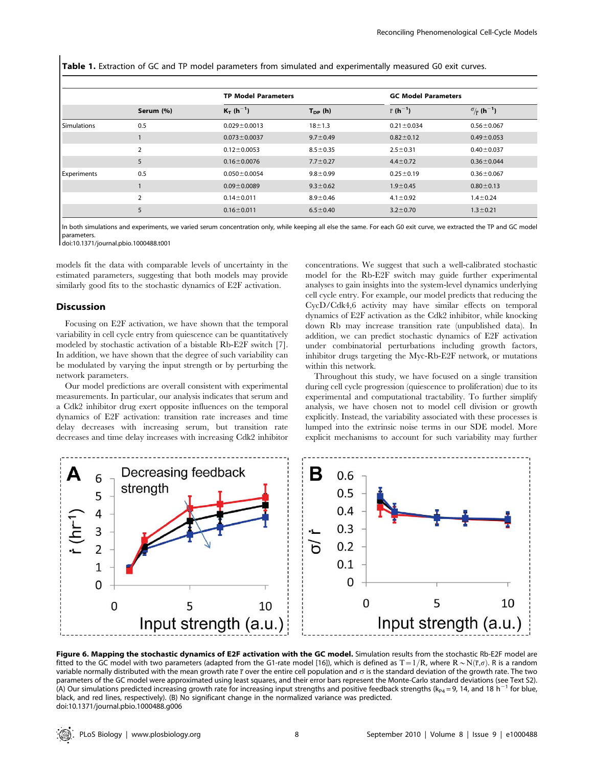Table 1. Extraction of GC and TP model parameters from simulated and experimentally measured G0 exit curves.

|                    | Serum (%)      | <b>TP Model Parameters</b> |                | <b>GC Model Parameters</b>   |                                            |
|--------------------|----------------|----------------------------|----------------|------------------------------|--------------------------------------------|
|                    |                | $K_T(h^{-1})$              | $T_{DP}$ (h)   | $\bar{r}$ (h <sup>-1</sup> ) | $\sigma_{\overline{r}}$ (h <sup>-1</sup> ) |
| <b>Simulations</b> | 0.5            | $0.029 \pm 0.0013$         | $18 + 1.3$     | $0.21 \pm 0.034$             | $0.56 \pm 0.067$                           |
|                    |                | $0.073 \pm 0.0037$         | $9.7 \pm 0.49$ | $0.82 \pm 0.12$              | $0.49 \pm 0.053$                           |
|                    | $\overline{2}$ | $0.12 \pm 0.0053$          | $8.5 \pm 0.35$ | $2.5 \pm 0.31$               | $0.40 \pm 0.037$                           |
|                    | 5              | $0.16 \pm 0.0076$          | $7.7 \pm 0.27$ | $4.4 \pm 0.72$               | $0.36 \pm 0.044$                           |
| Experiments        | 0.5            | $0.050 \pm 0.0054$         | $9.8 + 0.99$   | $0.25 \pm 0.19$              | $0.36 \pm 0.067$                           |
|                    |                | $0.09 \pm 0.0089$          | $9.3 \pm 0.62$ | $1.9 \pm 0.45$               | $0.80 \pm 0.13$                            |
|                    | $\overline{2}$ | $0.14 \pm 0.011$           | $8.9 + 0.46$   | $4.1 \pm 0.92$               | $1.4 \pm 0.24$                             |
|                    | 5              | $0.16 \pm 0.011$           | $6.5 \pm 0.40$ | $3.2 \pm 0.70$               | $1.3 \pm 0.21$                             |

In both simulations and experiments, we varied serum concentration only, while keeping all else the same. For each G0 exit curve, we extracted the TP and GC model parameters.

doi:10.1371/journal.pbio.1000488.t001

models fit the data with comparable levels of uncertainty in the estimated parameters, suggesting that both models may provide similarly good fits to the stochastic dynamics of E2F activation.

# Discussion

Focusing on E2F activation, we have shown that the temporal variability in cell cycle entry from quiescence can be quantitatively modeled by stochastic activation of a bistable Rb-E2F switch [7]. In addition, we have shown that the degree of such variability can be modulated by varying the input strength or by perturbing the network parameters.

Our model predictions are overall consistent with experimental measurements. In particular, our analysis indicates that serum and a Cdk2 inhibitor drug exert opposite influences on the temporal dynamics of E2F activation: transition rate increases and time delay decreases with increasing serum, but transition rate decreases and time delay increases with increasing Cdk2 inhibitor

concentrations. We suggest that such a well-calibrated stochastic model for the Rb-E2F switch may guide further experimental analyses to gain insights into the system-level dynamics underlying cell cycle entry. For example, our model predicts that reducing the CycD/Cdk4,6 activity may have similar effects on temporal dynamics of E2F activation as the Cdk2 inhibitor, while knocking down Rb may increase transition rate (unpublished data). In addition, we can predict stochastic dynamics of E2F activation under combinatorial perturbations including growth factors, inhibitor drugs targeting the Myc-Rb-E2F network, or mutations within this network.

Throughout this study, we have focused on a single transition during cell cycle progression (quiescence to proliferation) due to its experimental and computational tractability. To further simplify analysis, we have chosen not to model cell division or growth explicitly. Instead, the variability associated with these processes is lumped into the extrinsic noise terms in our SDE model. More explicit mechanisms to account for such variability may further



Figure 6. Mapping the stochastic dynamics of E2F activation with the GC model. Simulation results from the stochastic Rb-E2F model are fitted to the GC model with two parameters (adapted from the G1-rate model [16]), which is defined as T = 1/R, where R ~ N( $\bar{r}, \sigma$ ). R is a random variable normally distributed with the mean growth rate  $\bar{r}$  over the entire cell population and  $\sigma$  is the standard deviation of the growth rate. The two parameters of the GC model were approximated using least squares, and their error bars represent the Monte-Carlo standard deviations (see Text S2).<br>(A) Our simulations predicted increasing growth rate for increasing input black, and red lines, respectively). (B) No significant change in the normalized variance was predicted. doi:10.1371/journal.pbio.1000488.g006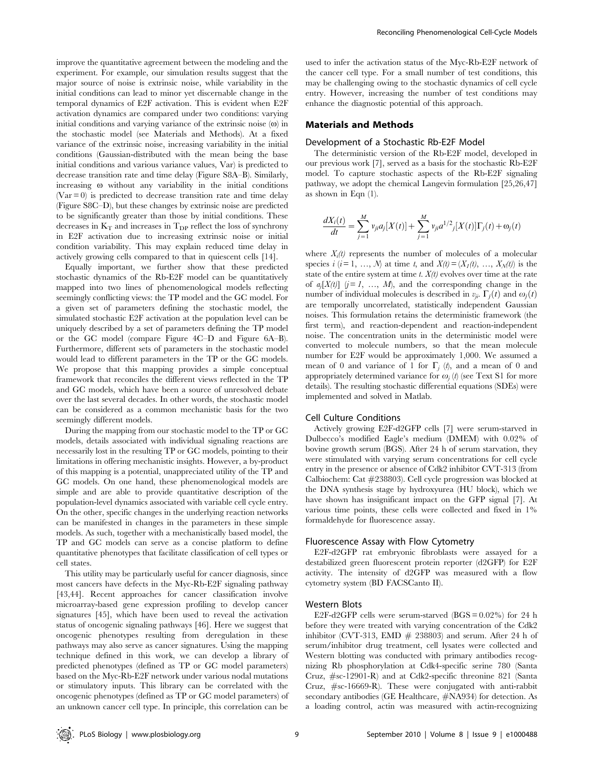improve the quantitative agreement between the modeling and the experiment. For example, our simulation results suggest that the major source of noise is extrinsic noise, while variability in the initial conditions can lead to minor yet discernable change in the temporal dynamics of E2F activation. This is evident when E2F activation dynamics are compared under two conditions: varying initial conditions and varying variance of the extrinsic noise  $(\omega)$  in the stochastic model (see Materials and Methods). At a fixed variance of the extrinsic noise, increasing variability in the initial conditions (Gaussian-distributed with the mean being the base initial conditions and various variance values, Var) is predicted to decrease transition rate and time delay (Figure S8A–B). Similarly, increasing  $\omega$  without any variability in the initial conditions  $(Var = 0)$  is predicted to decrease transition rate and time delay (Figure S8C–D), but these changes by extrinsic noise are predicted to be significantly greater than those by initial conditions. These decreases in  $\mathrm{K}_\mathrm{T}$  and increases in  $\mathrm{T}_{\mathrm{DP}}$  reflect the loss of synchrony in E2F activation due to increasing extrinsic noise or initial condition variability. This may explain reduced time delay in actively growing cells compared to that in quiescent cells [14].

Equally important, we further show that these predicted stochastic dynamics of the Rb-E2F model can be quantitatively mapped into two lines of phenomenological models reflecting seemingly conflicting views: the TP model and the GC model. For a given set of parameters defining the stochastic model, the simulated stochastic E2F activation at the population level can be uniquely described by a set of parameters defining the TP model or the GC model (compare Figure 4C–D and Figure 6A–B). Furthermore, different sets of parameters in the stochastic model would lead to different parameters in the TP or the GC models. We propose that this mapping provides a simple conceptual framework that reconciles the different views reflected in the TP and GC models, which have been a source of unresolved debate over the last several decades. In other words, the stochastic model can be considered as a common mechanistic basis for the two seemingly different models.

During the mapping from our stochastic model to the TP or GC models, details associated with individual signaling reactions are necessarily lost in the resulting TP or GC models, pointing to their limitations in offering mechanistic insights. However, a by-product of this mapping is a potential, unappreciated utility of the TP and GC models. On one hand, these phenomenological models are simple and are able to provide quantitative description of the population-level dynamics associated with variable cell cycle entry. On the other, specific changes in the underlying reaction networks can be manifested in changes in the parameters in these simple models. As such, together with a mechanistically based model, the TP and GC models can serve as a concise platform to define quantitative phenotypes that facilitate classification of cell types or cell states.

This utility may be particularly useful for cancer diagnosis, since most cancers have defects in the Myc-Rb-E2F signaling pathway [43,44]. Recent approaches for cancer classification involve microarray-based gene expression profiling to develop cancer signatures [45], which have been used to reveal the activation status of oncogenic signaling pathways [46]. Here we suggest that oncogenic phenotypes resulting from deregulation in these pathways may also serve as cancer signatures. Using the mapping technique defined in this work, we can develop a library of predicted phenotypes (defined as TP or GC model parameters) based on the Myc-Rb-E2F network under various nodal mutations or stimulatory inputs. This library can be correlated with the oncogenic phenotypes (defined as TP or GC model parameters) of an unknown cancer cell type. In principle, this correlation can be

used to infer the activation status of the Myc-Rb-E2F network of the cancer cell type. For a small number of test conditions, this may be challenging owing to the stochastic dynamics of cell cycle entry. However, increasing the number of test conditions may enhance the diagnostic potential of this approach.

## Materials and Methods

#### Development of a Stochastic Rb-E2F Model

The deterministic version of the Rb-E2F model, developed in our previous work [7], served as a basis for the stochastic Rb-E2F model. To capture stochastic aspects of the Rb-E2F signaling pathway, we adopt the chemical Langevin formulation [25,26,47] as shown in Eqn (1).

$$
\frac{dX_i(t)}{dt} = \sum_{j=1}^{M} v_{ji} a_j [X(t)] + \sum_{j=1}^{M} v_{ji} a^{1/2} j [X(t)] \Gamma_j(t) + \omega_j(t)
$$

where  $X_i(t)$  represents the number of molecules of a molecular species  $i$  ( $i = 1, ..., N$ ) at time t, and  $X(t) = (X_1(t), ..., X_N(t))$  is the state of the entire system at time t.  $X(t)$  evolves over time at the rate of  $a_j[X(t)]$   $(j = 1, ..., M)$ , and the corresponding change in the number of individual molecules is described in  $v_{ii}$ .  $\Gamma_i(t)$  and  $\omega_i(t)$ are temporally uncorrelated, statistically independent Gaussian noises. This formulation retains the deterministic framework (the first term), and reaction-dependent and reaction-independent noise. The concentration units in the deterministic model were converted to molecule numbers, so that the mean molecule number for E2F would be approximately 1,000. We assumed a mean of 0 and variance of 1 for  $\Gamma_i(t)$ , and a mean of 0 and appropriately determined variance for  $\omega_i(t)$  (see Text S1 for more details). The resulting stochastic differential equations (SDEs) were implemented and solved in Matlab.

# Cell Culture Conditions

Actively growing E2F-d2GFP cells [7] were serum-starved in Dulbecco's modified Eagle's medium (DMEM) with 0.02% of bovine growth serum (BGS). After 24 h of serum starvation, they were stimulated with varying serum concentrations for cell cycle entry in the presence or absence of Cdk2 inhibitor CVT-313 (from Calbiochem: Cat #238803). Cell cycle progression was blocked at the DNA synthesis stage by hydroxyurea (HU block), which we have shown has insignificant impact on the GFP signal [7]. At various time points, these cells were collected and fixed in 1% formaldehyde for fluorescence assay.

### Fluorescence Assay with Flow Cytometry

E2F-d2GFP rat embryonic fibroblasts were assayed for a destabilized green fluorescent protein reporter (d2GFP) for E2F activity. The intensity of d2GFP was measured with a flow cytometry system (BD FACSCanto II).

#### Western Blots

E2F-d2GFP cells were serum-starved  $(BGS = 0.02\%)$  for 24 h before they were treated with varying concentration of the Cdk2 inhibitor (CVT-313, EMD  $#$  238803) and serum. After 24 h of serum/inhibitor drug treatment, cell lysates were collected and Western blotting was conducted with primary antibodies recognizing Rb phosphorylation at Cdk4-specific serine 780 (Santa Cruz, #sc-12901-R) and at Cdk2-specific threonine 821 (Santa Cruz, #sc-16669-R). These were conjugated with anti-rabbit secondary antibodies (GE Healthcare, #NA934) for detection. As a loading control, actin was measured with actin-recognizing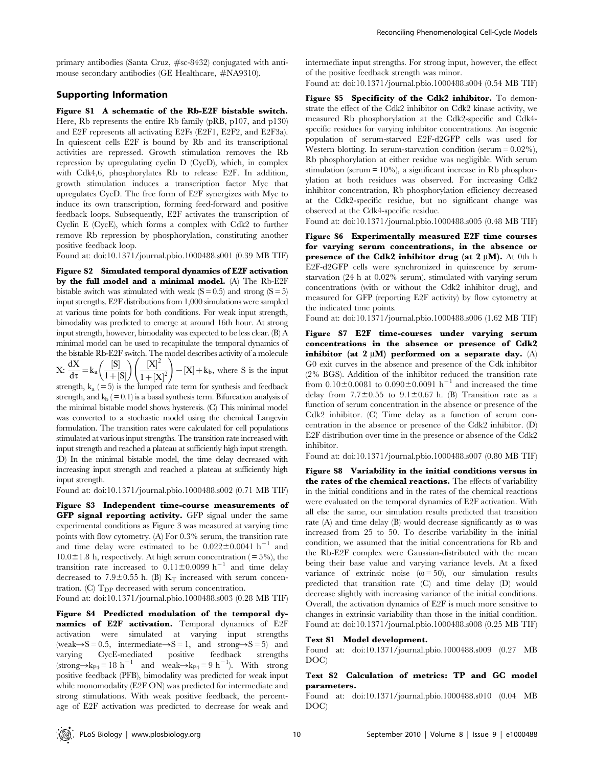primary antibodies (Santa Cruz, #sc-8432) conjugated with antimouse secondary antibodies (GE Healthcare, #NA9310).

# Supporting Information

Figure S1 A schematic of the Rb-E2F bistable switch. Here, Rb represents the entire Rb family (pRB, p107, and p130) and E2F represents all activating E2Fs (E2F1, E2F2, and E2F3a). In quiescent cells E2F is bound by Rb and its transcriptional activities are repressed. Growth stimulation removes the Rb repression by upregulating cyclin D (CycD), which, in complex with Cdk4,6, phosphorylates Rb to release E2F. In addition, growth stimulation induces a transcription factor Myc that upregulates CycD. The free form of E2F synergizes with Myc to induce its own transcription, forming feed-forward and positive feedback loops. Subsequently, E2F activates the transcription of Cyclin E (CycE), which forms a complex with Cdk2 to further remove Rb repression by phosphorylation, constituting another positive feedback loop.

Found at: doi:10.1371/journal.pbio.1000488.s001 (0.39 MB TIF)

Figure S2 Simulated temporal dynamics of E2F activation by the full model and a minimal model. (A) The Rb-E2F bistable switch was stimulated with weak  $(S = 0.5)$  and strong  $(S = 5)$ input strengths. E2F distributions from 1,000 simulations were sampled at various time points for both conditions. For weak input strength, bimodality was predicted to emerge at around 16th hour. At strong input strength, however, bimodality was expected to be less clear. (B) A minimal model can be used to recapitulate the temporal dynamics of the bistable Rb-E2F switch. The model describes activity of a molecule  $\frac{1}{2}$   $\frac{1}{2}$   $\frac{1}{2}$ 

 $X: \frac{dX}{d\tau} = k_a \left( \frac{S}{1+1} \right)$  $1 + |S|$  $\begin{pmatrix} 1 & 1 \\ 1 & 2 \end{pmatrix}$  $1 + [X]^2$  $-[X] + k_b$ , where S is the input strength,  $k_a$  (= 5) is the lumped rate term for synthesis and feedback

strength, and  $k_b$  ( $= 0.1$ ) is a basal synthesis term. Bifurcation analysis of the minimal bistable model shows hysteresis. (C) This minimal model was converted to a stochastic model using the chemical Langevin formulation. The transition rates were calculated for cell populations stimulated at various input strengths. The transition rate increased with input strength and reached a plateau at sufficiently high input strength. (D) In the minimal bistable model, the time delay decreased with increasing input strength and reached a plateau at sufficiently high input strength.

Found at: doi:10.1371/journal.pbio.1000488.s002 (0.71 MB TIF)

Figure S3 Independent time-course measurements of GFP signal reporting activity. GFP signal under the same experimental conditions as Figure 3 was measured at varying time points with flow cytometry. (A) For 0.3% serum, the transition rate and time delay were estimated to be  $0.022 \pm 0.0041$  h<sup>-1</sup> and  $10.0\pm1.8$  h, respectively. At high serum concentration ( = 5%), the transition rate increased to  $0.11\pm0.0099$  h<sup>-1</sup> and time delay decreased to 7.9 $\pm$ 0.55 h. (B) K<sub>T</sub> increased with serum concentration. (C)  $T_{DP}$  decreased with serum concentration.

Found at: doi:10.1371/journal.pbio.1000488.s003 (0.28 MB TIF)

Figure S4 Predicted modulation of the temporal dynamics of E2F activation. Temporal dynamics of E2F activation were simulated at varying input strengths  $(weak \rightarrow S = 0.5, intermediate \rightarrow S = 1, and strong \rightarrow S = 5)$  and varying CycE-mediated positive feedback strengths  $(\text{strong}\rightarrow k_{P4}=18 \text{ h}^{-1}$  and weak $\rightarrow k_{P4}=9 \text{ h}^{-1}$ ). With strong positive feedback (PFB), bimodality was predicted for weak input while monomodality (E2F ON) was predicted for intermediate and strong stimulations. With weak positive feedback, the percentage of E2F activation was predicted to decrease for weak and intermediate input strengths. For strong input, however, the effect of the positive feedback strength was minor.

Found at: doi:10.1371/journal.pbio.1000488.s004 (0.54 MB TIF)

Figure S5 Specificity of the Cdk2 inhibitor. To demonstrate the effect of the Cdk2 inhibitor on Cdk2 kinase activity, we measured Rb phosphorylation at the Cdk2-specific and Cdk4 specific residues for varying inhibitor concentrations. An isogenic population of serum-starved E2F-d2GFP cells was used for Western blotting. In serum-starvation condition (serum  $= 0.02\%$ ), Rb phosphorylation at either residue was negligible. With serum stimulation (serum  $= 10\%$ ), a significant increase in Rb phosphorylation at both residues was observed. For increasing Cdk2 inhibitor concentration, Rb phosphorylation efficiency decreased at the Cdk2-specific residue, but no significant change was observed at the Cdk4-specific residue.

Found at: doi:10.1371/journal.pbio.1000488.s005 (0.48 MB TIF)

Figure S6 Experimentally measured E2F time courses for varying serum concentrations, in the absence or presence of the Cdk2 inhibitor drug (at  $2 \mu M$ ). At 0th h E2F-d2GFP cells were synchronized in quiescence by serumstarvation (24 h at 0.02% serum), stimulated with varying serum concentrations (with or without the Cdk2 inhibitor drug), and measured for GFP (reporting E2F activity) by flow cytometry at the indicated time points.

Found at: doi:10.1371/journal.pbio.1000488.s006 (1.62 MB TIF)

Figure S7 E2F time-courses under varying serum concentrations in the absence or presence of Cdk2 inhibitor (at  $2 \mu M$ ) performed on a separate day. (A) G0 exit curves in the absence and presence of the Cdk inhibitor (2% BGS). Addition of the inhibitor reduced the transition rate from  $0.10 \pm 0.0081$  to  $0.090 \pm 0.0091$  h<sup>-1</sup> and increased the time delay from  $7.7\pm0.55$  to  $9.1\pm0.67$  h. (B) Transition rate as a function of serum concentration in the absence or presence of the Cdk2 inhibitor. (C) Time delay as a function of serum concentration in the absence or presence of the Cdk2 inhibitor. (D) E2F distribution over time in the presence or absence of the Cdk2 inhibitor.

Found at: doi:10.1371/journal.pbio.1000488.s007 (0.80 MB TIF)

Figure S8 Variability in the initial conditions versus in the rates of the chemical reactions. The effects of variability in the initial conditions and in the rates of the chemical reactions were evaluated on the temporal dynamics of E2F activation. With all else the same, our simulation results predicted that transition rate (A) and time delay (B) would decrease significantly as  $\omega$  was increased from 25 to 50. To describe variability in the initial condition, we assumed that the initial concentrations for Rb and the Rb-E2F complex were Gaussian-distributed with the mean being their base value and varying variance levels. At a fixed variance of extrinsic noise  $(\omega = 50)$ , our simulation results predicted that transition rate (C) and time delay (D) would decrease slightly with increasing variance of the initial conditions. Overall, the activation dynamics of E2F is much more sensitive to changes in extrinsic variability than those in the initial condition. Found at: doi:10.1371/journal.pbio.1000488.s008 (0.25 MB TIF)

#### Text S1 Model development.

Found at: doi:10.1371/journal.pbio.1000488.s009 (0.27 MB DOC)

# Text S2 Calculation of metrics: TP and GC model parameters.

Found at: doi:10.1371/journal.pbio.1000488.s010 (0.04 MB DOC)